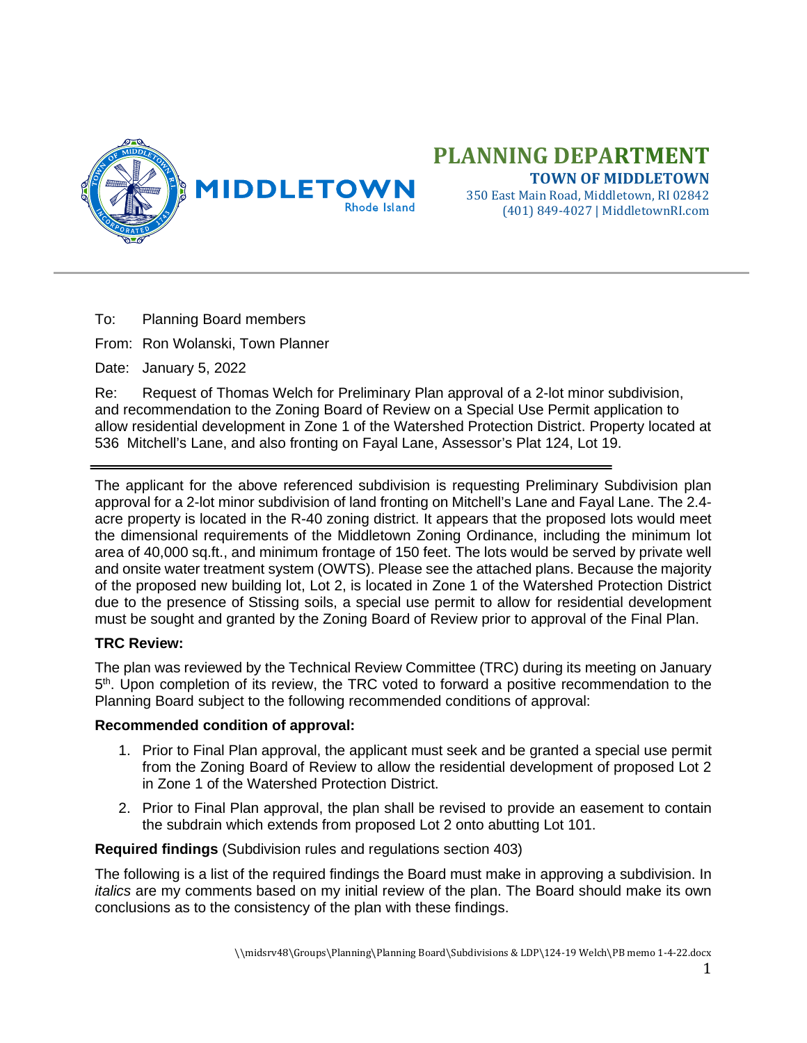

## **PLANNING DEPARTMENT TOWN OF MIDDLETOWN**

350 East Main Road, Middletown, RI 02842 (401) 849-4027 | MiddletownRI.com

To: Planning Board members

From: Ron Wolanski, Town Planner

Date: January 5, 2022

Re: Request of Thomas Welch for Preliminary Plan approval of a 2-lot minor subdivision, and recommendation to the Zoning Board of Review on a Special Use Permit application to allow residential development in Zone 1 of the Watershed Protection District. Property located at 536 Mitchell's Lane, and also fronting on Fayal Lane, Assessor's Plat 124, Lot 19.

The applicant for the above referenced subdivision is requesting Preliminary Subdivision plan approval for a 2-lot minor subdivision of land fronting on Mitchell's Lane and Fayal Lane. The 2.4 acre property is located in the R-40 zoning district. It appears that the proposed lots would meet the dimensional requirements of the Middletown Zoning Ordinance, including the minimum lot area of 40,000 sq.ft., and minimum frontage of 150 feet. The lots would be served by private well and onsite water treatment system (OWTS). Please see the attached plans. Because the majority of the proposed new building lot, Lot 2, is located in Zone 1 of the Watershed Protection District due to the presence of Stissing soils, a special use permit to allow for residential development must be sought and granted by the Zoning Board of Review prior to approval of the Final Plan.

## **TRC Review:**

The plan was reviewed by the Technical Review Committee (TRC) during its meeting on January 5<sup>th</sup>. Upon completion of its review, the TRC voted to forward a positive recommendation to the Planning Board subject to the following recommended conditions of approval:

## **Recommended condition of approval:**

- 1. Prior to Final Plan approval, the applicant must seek and be granted a special use permit from the Zoning Board of Review to allow the residential development of proposed Lot 2 in Zone 1 of the Watershed Protection District.
- 2. Prior to Final Plan approval, the plan shall be revised to provide an easement to contain the subdrain which extends from proposed Lot 2 onto abutting Lot 101.

**Required findings** (Subdivision rules and regulations section 403)

The following is a list of the required findings the Board must make in approving a subdivision. In *italics* are my comments based on my initial review of the plan. The Board should make its own conclusions as to the consistency of the plan with these findings.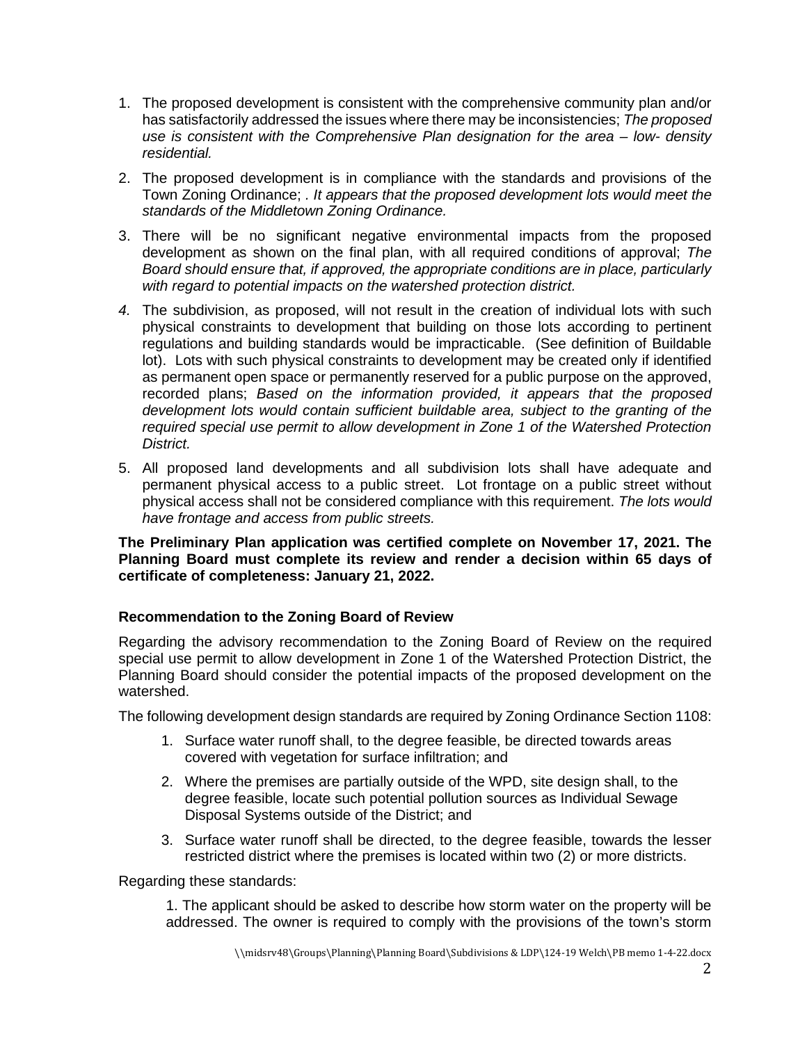- 1. The proposed development is consistent with the comprehensive community plan and/or has satisfactorily addressed the issues where there may be inconsistencies; *The proposed use is consistent with the Comprehensive Plan designation for the area – low- density residential.*
- 2. The proposed development is in compliance with the standards and provisions of the Town Zoning Ordinance; *. It appears that the proposed development lots would meet the standards of the Middletown Zoning Ordinance.*
- 3. There will be no significant negative environmental impacts from the proposed development as shown on the final plan, with all required conditions of approval; *The Board should ensure that, if approved, the appropriate conditions are in place, particularly with regard to potential impacts on the watershed protection district.*
- *4.* The subdivision, as proposed, will not result in the creation of individual lots with such physical constraints to development that building on those lots according to pertinent regulations and building standards would be impracticable. (See definition of Buildable lot). Lots with such physical constraints to development may be created only if identified as permanent open space or permanently reserved for a public purpose on the approved, recorded plans; *Based on the information provided, it appears that the proposed development lots would contain sufficient buildable area, subject to the granting of the required special use permit to allow development in Zone 1 of the Watershed Protection District.*
- 5. All proposed land developments and all subdivision lots shall have adequate and permanent physical access to a public street. Lot frontage on a public street without physical access shall not be considered compliance with this requirement. *The lots would have frontage and access from public streets.*

**The Preliminary Plan application was certified complete on November 17, 2021. The Planning Board must complete its review and render a decision within 65 days of certificate of completeness: January 21, 2022.** 

## **Recommendation to the Zoning Board of Review**

Regarding the advisory recommendation to the Zoning Board of Review on the required special use permit to allow development in Zone 1 of the Watershed Protection District, the Planning Board should consider the potential impacts of the proposed development on the watershed.

The following development design standards are required by Zoning Ordinance Section 1108:

- 1. Surface water runoff shall, to the degree feasible, be directed towards areas covered with vegetation for surface infiltration; and
- 2. Where the premises are partially outside of the WPD, site design shall, to the degree feasible, locate such potential pollution sources as Individual Sewage Disposal Systems outside of the District; and
- 3. Surface water runoff shall be directed, to the degree feasible, towards the lesser restricted district where the premises is located within two (2) or more districts.

Regarding these standards:

1. The applicant should be asked to describe how storm water on the property will be addressed. The owner is required to comply with the provisions of the town's storm